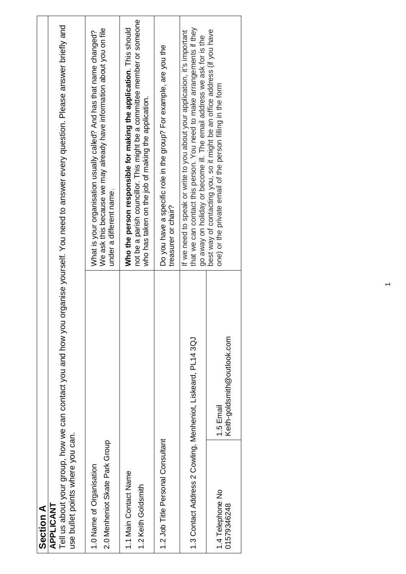| Section A                                                    |                                                              |                                                                                                                                                                                                                               |
|--------------------------------------------------------------|--------------------------------------------------------------|-------------------------------------------------------------------------------------------------------------------------------------------------------------------------------------------------------------------------------|
| use bullet points where you can.<br>APPLICANT                | Tell us about your group, how we can contact you and how you | organise yourself. You need to answer every question. Please answer briefly and                                                                                                                                               |
| 2.0 Menheniot Skate Park Group<br>1.0 Name of Organisation   |                                                              | We ask this because we may already have information about you on file<br>What is your organisation usually called? And has that name changed?<br>under a different name.                                                      |
| 1.1 Main Contact Name<br>1.2 Keith Goldsmith                 |                                                              | not be a parish councillor. This might be a committee member or someone<br>Who the person responsible for making the application. This should<br>who has taken on the job of making the application.                          |
| 1.2 Job Title Personal Consultant                            |                                                              | Do you have a specific role in the group? For example, are you the<br>treasurer or chair?                                                                                                                                     |
| 1.3 Contact Address 2 Cowling, Menheniot, Liskeard, PL14 3QJ |                                                              | that we can contact this person. You need to make arrangements if they<br>If we need to speak or write to you about your application, it's important<br>go away on holiday or become ill. The email address we ask for is the |
| 1.4 Telephone No<br>01579346248                              | Keith-goldsmith@outlook.com<br>1.5 Email                     | best way of contacting you, so it might be an office address (if you have<br>one) or the private email of the person filling in the form                                                                                      |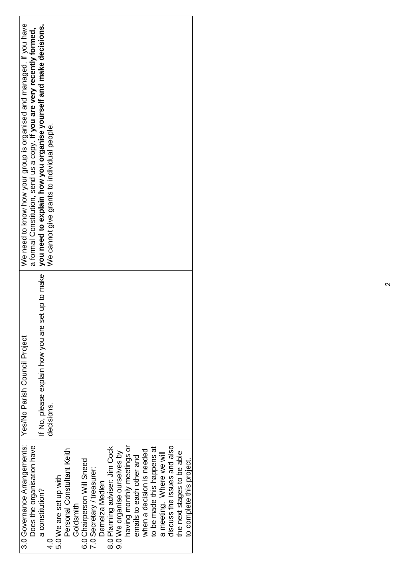| 3.0 Governance Arrangements:   Yes/No Parish Council Project |                                                     | We need to know how your group is organised and managed. If you have    |
|--------------------------------------------------------------|-----------------------------------------------------|-------------------------------------------------------------------------|
| Does the organisation have                                   |                                                     | a formal Constitution, send us a copy. If you are very recently formed, |
| a constitution?                                              | set up to make<br>If No, please explain how you are | you need to explain how you organise yourself and make decisions.       |
| ⊂<br>4                                                       | decisions.                                          | We cannot give grants to individual people.                             |
| 5.0 We are set up with                                       |                                                     |                                                                         |
| Personal Constultant Keith                                   |                                                     |                                                                         |
| Goldsmith                                                    |                                                     |                                                                         |
| 6.0 Chairperson Will Sneed                                   |                                                     |                                                                         |
| 7.0 Secretary / treasurer:                                   |                                                     |                                                                         |
| Demelza Medlen                                               |                                                     |                                                                         |
| 8.0 Planning adviser: Jim Cock                               |                                                     |                                                                         |
| 9.0 We organise ourselves by                                 |                                                     |                                                                         |
| having monthly meetings or                                   |                                                     |                                                                         |
| emails to each other and                                     |                                                     |                                                                         |
| when a decision is needed                                    |                                                     |                                                                         |
| to be made this happens at                                   |                                                     |                                                                         |
| a meeting. Where we will                                     |                                                     |                                                                         |
| discuss the issues and also                                  |                                                     |                                                                         |
| the next stages to be able                                   |                                                     |                                                                         |
| to complete this project.                                    |                                                     |                                                                         |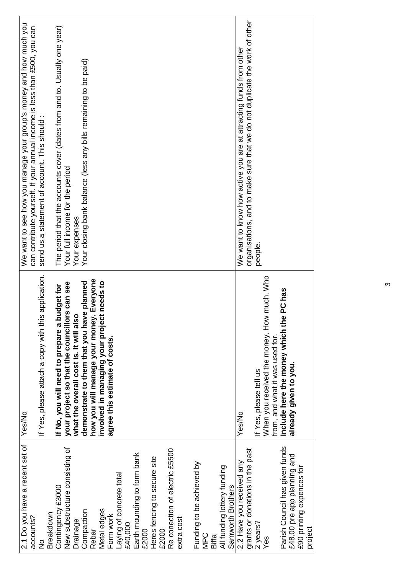| 2.1 Do you have a recent set of<br>accounts?                  | Yes/No                                                                      | We want to see how you manage your group's money and how much you<br>can contribute yourself. If your annual income is less than £500, you can |
|---------------------------------------------------------------|-----------------------------------------------------------------------------|------------------------------------------------------------------------------------------------------------------------------------------------|
| $\frac{1}{2}$                                                 | If Yes, please attach a copy with this application.                         | send us a statement of account. This should:                                                                                                   |
| Breakdown                                                     |                                                                             |                                                                                                                                                |
| Contingency £3000                                             | budget for<br>If No, you will need to prepare a                             | The period that the accounts cover (dates from and to. Usually one year)                                                                       |
| New substructure consisting of                                | your project so that the councillors can see                                | Your full income for the period                                                                                                                |
| <b>Drainage</b>                                               | what the overall cost is. It will also                                      | Your expenses                                                                                                                                  |
| Compaction                                                    | demonstrate to them that you have planned                                   | Your closing bank balance (less any bills remaining to be paid)                                                                                |
| Rebar                                                         | how you will manage your money. Everyone                                    |                                                                                                                                                |
| Metal edges                                                   | involved in managing your project needs to<br>agree this estimate of costs. |                                                                                                                                                |
| Form work                                                     |                                                                             |                                                                                                                                                |
| Laying of concrete total<br>£40,000                           |                                                                             |                                                                                                                                                |
| Earth mounding to form bank<br>£2000                          |                                                                             |                                                                                                                                                |
| Heres fencing to secure site                                  |                                                                             |                                                                                                                                                |
| £2000                                                         |                                                                             |                                                                                                                                                |
| Re conection of electric £5500                                |                                                                             |                                                                                                                                                |
| extra cost                                                    |                                                                             |                                                                                                                                                |
| Funding to be achieved by                                     |                                                                             |                                                                                                                                                |
| <b>MPC</b>                                                    |                                                                             |                                                                                                                                                |
| Biffa                                                         |                                                                             |                                                                                                                                                |
| All funding lottery funding<br>Samworth Brothers              |                                                                             |                                                                                                                                                |
| 2.2 Have you received any                                     | Yes/No                                                                      | We want to know how active you are at attracting funds from other                                                                              |
| grants or donations in the past                               |                                                                             | organisations, and to make sure that we do not duplicate the work of other                                                                     |
| 2 years?                                                      | If Yes, please tell us                                                      | people                                                                                                                                         |
| Yes                                                           | When you received the money, How much, Who                                  |                                                                                                                                                |
|                                                               | from, and what it was used for.                                             |                                                                                                                                                |
| Parish Council has given funds<br>£48.00 pre app planning and | PC has<br>Include here the money which the<br>already given to you.         |                                                                                                                                                |
| £90 printing expences for                                     |                                                                             |                                                                                                                                                |
| project                                                       |                                                                             |                                                                                                                                                |

 $\infty$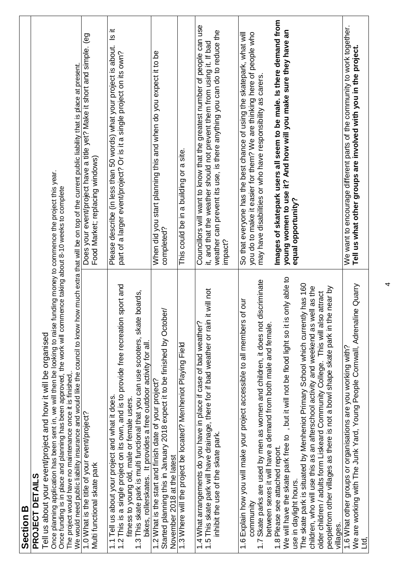| <b>Section B</b>                                                                                                                                                                                                                                     |                                                                                                                                                                |
|------------------------------------------------------------------------------------------------------------------------------------------------------------------------------------------------------------------------------------------------------|----------------------------------------------------------------------------------------------------------------------------------------------------------------|
| PROJECT DETAILS                                                                                                                                                                                                                                      |                                                                                                                                                                |
| Tell us about your event/project and how it will be organised                                                                                                                                                                                        |                                                                                                                                                                |
| Once planning application has been sent in, we will then be looking to raise funding money to commence the project this year.<br>Once funding is in place and planning has been approved, the work will commence taking about 8-10 weeks to complete |                                                                                                                                                                |
| We would need public liability insurance and would like the council to know how much extra that will be on top of the current public liability that is place at present.<br>The project would have no maintenance once it is finished,.              |                                                                                                                                                                |
| 1.0 What is the title of your event/project?<br>Multi functional skate park                                                                                                                                                                          | Does your event/project have a title yet? Make it short and simple. (eg<br>Food Market; replacing windows)                                                     |
|                                                                                                                                                                                                                                                      |                                                                                                                                                                |
| sport and<br>1.2 This is a single project on its own, and is to provide free recreation<br>1.1 Tell us about your project and what it does.                                                                                                          | $\frac{1}{18}$<br>Please describe (in less than 50 words) what your project is about.<br>part of a larger event/project? Or is it a single project on its own? |
| fitness to young old, male or female users.                                                                                                                                                                                                          |                                                                                                                                                                |
| This skate park is multi functional that you can use scooters, skate boards,<br>bikes, rollerskates. It provides a free outdoor activity for all.<br>.<br>ب                                                                                          |                                                                                                                                                                |
| 1.2 What is the start and finish date of your project?                                                                                                                                                                                               | When did you start planning this and when do you expect it to be                                                                                               |
| Started planning this in January 2018 expect it to be finished by October/<br>November 2018 at the latest                                                                                                                                            | completed?                                                                                                                                                     |
| 1.3 Where will the project be located? Menheniot Playing Field                                                                                                                                                                                       | This could be in a building or a site.                                                                                                                         |
|                                                                                                                                                                                                                                                      |                                                                                                                                                                |
| it will not<br>1.5 This skate park will have drainage, there for if bad weather or rain<br>1.4 What arrangements do you have in place if case of bad weather?                                                                                        | Councillors will want to know that the greatest number of people can use<br>it, and that the weather should not prevent them from using it. If bad             |
| inhibit the use of the skate park.                                                                                                                                                                                                                   | weather can prevent its use, is there anything you can do to reduce the                                                                                        |
|                                                                                                                                                                                                                                                      | impact?                                                                                                                                                        |
| of our<br>1.6 Explain how you will make your project accessible to all members<br>community                                                                                                                                                          | So that everyone has the best chance of using the skatepark, what will<br>you do to make it easier for them? We are thinking here of people who                |
| discriminate<br>Skate parks are used by men as women and children, it does not                                                                                                                                                                       | may have disabilities or who have responsibility as carers.                                                                                                    |
| between sexes it will have a demand from both male and female.                                                                                                                                                                                       |                                                                                                                                                                |
| 1.8 Please see attached report.                                                                                                                                                                                                                      | Images of skatepark users all seem to be male. Is there demand from<br>young women to use it? And how will you make sure they have an                          |
| We will have the skate park free to , but it will not be flood light so it is only able to<br>use in daylight hours.                                                                                                                                 | equal opportunity?                                                                                                                                             |
| The skate park is situated by Menheniot Primary School which currently has 160<br>children, who will use this as an afterschool activity and weekend as well as the                                                                                  |                                                                                                                                                                |
| older children / adults form Liskeard Community College. This will also attract                                                                                                                                                                      |                                                                                                                                                                |
| le near by<br>peoplefrom other villages as there is not a bowl shape skate park in th<br>villages.                                                                                                                                                   |                                                                                                                                                                |
| 1.6 What other groups or organisations are you working with?                                                                                                                                                                                         | We want to encourage different parts of the community to work together.                                                                                        |
| line Quarry<br>We are working with The Junk Yard, Young People Cornwall, Adrenal<br>Е.<br>Ц                                                                                                                                                          | Tell us what other groups are involved with you in the project.                                                                                                |
|                                                                                                                                                                                                                                                      |                                                                                                                                                                |

4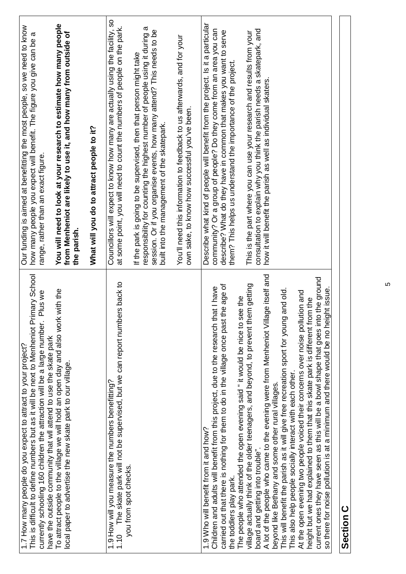| rimary School<br>Plus we<br>This is difficult to define numbers but as it will be next to Menheniot Pr<br>currently schooling 160 children the attraction will be a large number.<br>1.7 How many people do you expect to attract to your project?                                                                                                                                                                                                                                                                                                                                                                                                                                                                                                                                                                                                                                                                                                                                                                                                                                                       | Our funding is aimed at benefitting the most people, so we need to know<br>σ<br>how many people you expect will benefit. The figure you give can be<br>range, rather than an exact figure.                                                                                                                                                                                                                                                                                                                        |
|----------------------------------------------------------------------------------------------------------------------------------------------------------------------------------------------------------------------------------------------------------------------------------------------------------------------------------------------------------------------------------------------------------------------------------------------------------------------------------------------------------------------------------------------------------------------------------------------------------------------------------------------------------------------------------------------------------------------------------------------------------------------------------------------------------------------------------------------------------------------------------------------------------------------------------------------------------------------------------------------------------------------------------------------------------------------------------------------------------|-------------------------------------------------------------------------------------------------------------------------------------------------------------------------------------------------------------------------------------------------------------------------------------------------------------------------------------------------------------------------------------------------------------------------------------------------------------------------------------------------------------------|
| To attract people to the village we will hold an open day and also work with the<br>have the outside community that will attend to use the skate park<br>local paper to advertise the new skate park to our village.                                                                                                                                                                                                                                                                                                                                                                                                                                                                                                                                                                                                                                                                                                                                                                                                                                                                                     | You will need to look at your research to estimate how many people<br>from Menheniot are likely to use it, and how many from outside of<br>the parish.                                                                                                                                                                                                                                                                                                                                                            |
|                                                                                                                                                                                                                                                                                                                                                                                                                                                                                                                                                                                                                                                                                                                                                                                                                                                                                                                                                                                                                                                                                                          | What will you do to attract people to it?                                                                                                                                                                                                                                                                                                                                                                                                                                                                         |
| The skate park will not be supervised, but we can report numbers back to<br>1.9 How will you measure the numbers benefitting?<br>you from spot checks.<br>1.10                                                                                                                                                                                                                                                                                                                                                                                                                                                                                                                                                                                                                                                                                                                                                                                                                                                                                                                                           | Councillors will expect to know how many are actually using the facility, so<br>at some point, you will need to count the numbers of people on the park.                                                                                                                                                                                                                                                                                                                                                          |
|                                                                                                                                                                                                                                                                                                                                                                                                                                                                                                                                                                                                                                                                                                                                                                                                                                                                                                                                                                                                                                                                                                          | responsibility for counting the highest number of people using it during a<br>session. Or if you organise events, how many attend? This needs to be<br>If the park is going to be supervised, then that person might take<br>built into the management of the skatepark.                                                                                                                                                                                                                                          |
|                                                                                                                                                                                                                                                                                                                                                                                                                                                                                                                                                                                                                                                                                                                                                                                                                                                                                                                                                                                                                                                                                                          | You'll need this information to feedback to us afterwards, and for your<br>own sake, to know how successful you've been.                                                                                                                                                                                                                                                                                                                                                                                          |
| A lot of the people who came to the evening were from Menheniot Village itself and<br>current ones they have seen as this will be a bowl shape that goes into the ground<br>village actually think of the older teenagers, and beyond, to prevent them getting<br>the age of<br>Children and adults will benefit from this project, due to the research that I have<br>This will benefit the parish as it will give free recreation sport for young and old.<br>so there for noise pollution is at a minimum and there would be no height issue.<br>At the open evening two people voiced their concerns over noise pollution and<br>The people who attended the open evening said " it would be nice to see the<br>height but we had explained to them that this skate park is different from the<br>carried out that there is nothing for them to do in the village once past<br>This also help people socially interact with each other.<br>beyond like Bethany and some other rural villages.<br>1.9 Who will benefit from it and how?<br>board and getting into trouble"<br>the toddlers play park. | Describe what kind of people will benefit from the project. Is it a particular<br>community? Or a group of people? Do they come from an area you can<br>consultation to explain why you think the parish needs a skatepark, and<br>describe? What do they have in common that makes you want to serve<br>This is the part where you can use your research and results from your<br>them? This helps us understand the importance of the project.<br>how it will benefit the parish as well as individual skaters. |

## Section C **Section C**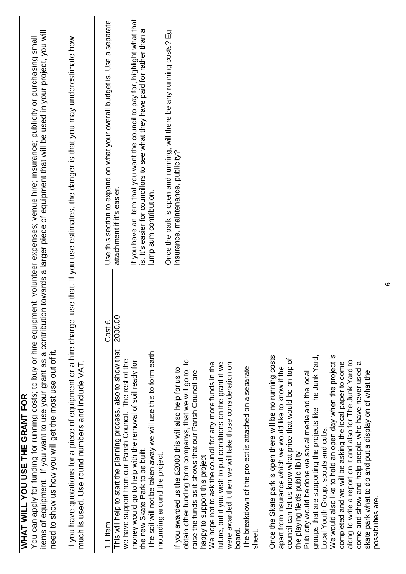| need to show us how you will get the most use out of it.<br><b>WHAT WILL YOU USE THE GRANT FOR</b>                                                                                                                                                                                                                                                                                                                                                                                                                                                                                                                                                                                                                                                                                                                                                                                                                                                                                                                                                                                                                                                                                                                              |         | items of equipment. If you want to use your grant as a contribution towards a larger piece of equipment that will be used in your project, you will<br>You can apply for funding for running costs; to buy or hire equipment; volunteer expenses; venue hire; insurance; publicity or purchasing small |
|---------------------------------------------------------------------------------------------------------------------------------------------------------------------------------------------------------------------------------------------------------------------------------------------------------------------------------------------------------------------------------------------------------------------------------------------------------------------------------------------------------------------------------------------------------------------------------------------------------------------------------------------------------------------------------------------------------------------------------------------------------------------------------------------------------------------------------------------------------------------------------------------------------------------------------------------------------------------------------------------------------------------------------------------------------------------------------------------------------------------------------------------------------------------------------------------------------------------------------|---------|--------------------------------------------------------------------------------------------------------------------------------------------------------------------------------------------------------------------------------------------------------------------------------------------------------|
| much is used. Use round numbers and include VAT.                                                                                                                                                                                                                                                                                                                                                                                                                                                                                                                                                                                                                                                                                                                                                                                                                                                                                                                                                                                                                                                                                                                                                                                |         | If you have quotations for a piece of equipment or a hire charge, use that. If you use estimates, the danger is that you may underestimate how                                                                                                                                                         |
| 1.1 Item                                                                                                                                                                                                                                                                                                                                                                                                                                                                                                                                                                                                                                                                                                                                                                                                                                                                                                                                                                                                                                                                                                                                                                                                                        | Cost £  | Use this section to expand on what your overall budget is. Use a separate                                                                                                                                                                                                                              |
| This will help to start the planning process, also to show that<br>we have support from our Parish Council. The rest of the                                                                                                                                                                                                                                                                                                                                                                                                                                                                                                                                                                                                                                                                                                                                                                                                                                                                                                                                                                                                                                                                                                     | 2000.00 | attachment if it's easier.                                                                                                                                                                                                                                                                             |
| The soil will not be taken away we will use this to form earth<br>money would go to help with the removal of soil ready for<br>the new Skate Park to be built.<br>mounding around the project.                                                                                                                                                                                                                                                                                                                                                                                                                                                                                                                                                                                                                                                                                                                                                                                                                                                                                                                                                                                                                                  |         | If you have an item that you want the council to pay for, highlight what that<br>is. It's easier for councillors to see what they have paid for rather than a<br>lump sum contribution.                                                                                                                |
|                                                                                                                                                                                                                                                                                                                                                                                                                                                                                                                                                                                                                                                                                                                                                                                                                                                                                                                                                                                                                                                                                                                                                                                                                                 |         | Once the park is open and running, will there be any running costs? Eg                                                                                                                                                                                                                                 |
| We would also like to hold an open day when the project is<br>groups that are supporting the projects like The Junk Yard,<br>Once the Skate park is open there will be no running costs<br>council can let us know what price that would be on top of<br>obtain other funding form companys, that we will go to, to<br>along to write a report on it and also for The Junk Yard to<br>completed and we will be asking the local paper to come<br>$\sigma$<br>We hope not to ask the council for any more funds in the<br>were awarded it then we will take those consideration on<br>future, but if you wish to put conditions on the grant if we<br>The breakdown of the project is attached on a separate<br>apart from insurance which we would like to know if the<br>If you awarded us the £2000 this will also help for us to<br>come and show and help people who have never used<br>skate park what to do and put a display on of what the<br>raise the funds as it shows that our Parish Council are<br>Publicity would be done via social media and the local<br>Local Youth Group, scouts and cubs.<br>the playing fields public libility<br>happy to support this project<br>possibilities are.<br>board.<br>sheet. |         | insurance, maintenance, publicity?                                                                                                                                                                                                                                                                     |